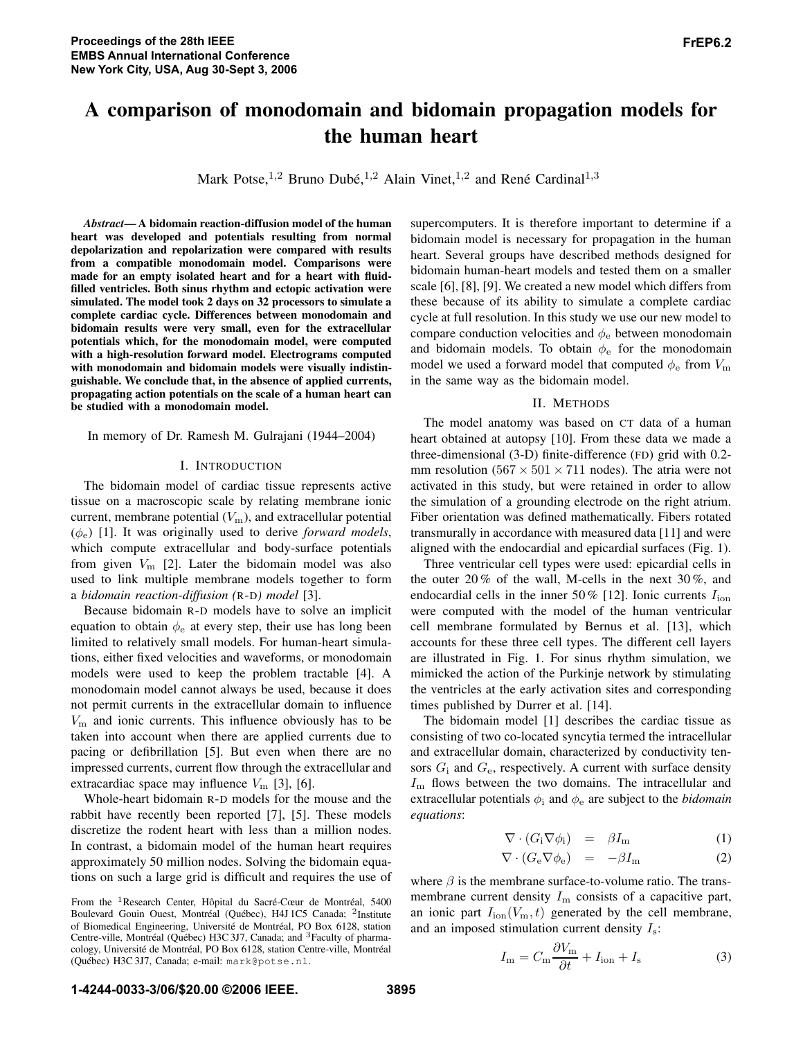# A comparison of monodomain and bidomain propagation models for the human heart

Mark Potse,<sup>1,2</sup> Bruno Dubé,<sup>1,2</sup> Alain Vinet,<sup>1,2</sup> and René Cardinal<sup>1,3</sup>

*Abstract*— A bidomain reaction-diffusion model of the human heart was developed and potentials resulting from normal depolarization and repolarization were compared with results from a compatible monodomain model. Comparisons were made for an empty isolated heart and for a heart with fluidfilled ventricles. Both sinus rhythm and ectopic activation were simulated. The model took 2 days on 32 processors to simulate a complete cardiac cycle. Differences between monodomain and bidomain results were very small, even for the extracellular potentials which, for the monodomain model, were computed with a high-resolution forward model. Electrograms computed with monodomain and bidomain models were visually indistinguishable. We conclude that, in the absence of applied currents, propagating action potentials on the scale of a human heart can be studied with a monodomain model.

In memory of Dr. Ramesh M. Gulrajani (1944–2004)

#### I. INTRODUCTION

The bidomain model of cardiac tissue represents active tissue on a macroscopic scale by relating membrane ionic current, membrane potential  $(V<sub>m</sub>)$ , and extracellular potential  $(\phi_e)$  [1]. It was originally used to derive *forward models*, which compute extracellular and body-surface potentials from given  $V<sub>m</sub>$  [2]. Later the bidomain model was also used to link multiple membrane models together to form a *bidomain reaction-diffusion (*R-D*) model* [3].

Because bidomain R-D models have to solve an implicit equation to obtain  $\phi_e$  at every step, their use has long been limited to relatively small models. For human-heart simulations, either fixed velocities and waveforms, or monodomain models were used to keep the problem tractable [4]. A monodomain model cannot always be used, because it does not permit currents in the extracellular domain to influence  $V<sub>m</sub>$  and ionic currents. This influence obviously has to be taken into account when there are applied currents due to pacing or defibrillation [5]. But even when there are no impressed currents, current flow through the extracellular and extracardiac space may influence  $V<sub>m</sub>$  [3], [6].

Whole-heart bidomain R-D models for the mouse and the rabbit have recently been reported [7], [5]. These models discretize the rodent heart with less than a million nodes. In contrast, a bidomain model of the human heart requires approximately 50 million nodes. Solving the bidomain equations on such a large grid is difficult and requires the use of supercomputers. It is therefore important to determine if a bidomain model is necessary for propagation in the human heart. Several groups have described methods designed for bidomain human-heart models and tested them on a smaller scale [6], [8], [9]. We created a new model which differs from these because of its ability to simulate a complete cardiac cycle at full resolution. In this study we use our new model to compare conduction velocities and  $\phi_e$  between monodomain and bidomain models. To obtain  $\phi_e$  for the monodomain model we used a forward model that computed  $\phi_e$  from  $V_m$ in the same way as the bidomain model.

#### II. METHODS

The model anatomy was based on CT data of a human heart obtained at autopsy [10]. From these data we made a three-dimensional (3-D) finite-difference (FD) grid with 0.2 mm resolution ( $567 \times 501 \times 711$  nodes). The atria were not activated in this study, but were retained in order to allow the simulation of a grounding electrode on the right atrium. Fiber orientation was defined mathematically. Fibers rotated transmurally in accordance with measured data [11] and were aligned with the endocardial and epicardial surfaces (Fig. 1).

Three ventricular cell types were used: epicardial cells in the outer 20 % of the wall, M-cells in the next 30 %, and endocardial cells in the inner 50 % [12]. Ionic currents  $I_{\text{ion}}$ were computed with the model of the human ventricular cell membrane formulated by Bernus et al. [13], which accounts for these three cell types. The different cell layers are illustrated in Fig. 1. For sinus rhythm simulation, we mimicked the action of the Purkinje network by stimulating the ventricles at the early activation sites and corresponding times published by Durrer et al. [14].

The bidomain model [1] describes the cardiac tissue as consisting of two co-located syncytia termed the intracellular and extracellular domain, characterized by conductivity tensors  $G_i$  and  $G_e$ , respectively. A current with surface density  $I<sub>m</sub>$  flows between the two domains. The intracellular and extracellular potentials  $\phi_i$  and  $\phi_e$  are subject to the *bidomain equations*:

$$
\nabla \cdot (G_i \nabla \phi_i) = \beta I_m \tag{1}
$$

$$
\nabla \cdot (G_{\rm e} \nabla \phi_{\rm e}) = -\beta I_{\rm m} \tag{2}
$$

where  $\beta$  is the membrane surface-to-volume ratio. The transmembrane current density  $I<sub>m</sub>$  consists of a capacitive part, an ionic part  $I_{\text{ion}}(V_{\text{m}}, t)$  generated by the cell membrane, and an imposed stimulation current density  $I_s$ :

$$
I_{\rm m} = C_{\rm m} \frac{\partial V_{\rm m}}{\partial t} + I_{\rm ion} + I_{\rm s} \tag{3}
$$

From the <sup>1</sup>Research Center, Hôpital du Sacré-Cœur de Montréal, 5400 Boulevard Gouin Ouest, Montréal (Québec), H4J 1C5 Canada; <sup>2</sup>Institute of Biomedical Engineering, Université de Montréal, PO Box 6128, station Centre-ville, Montréal (Québec) H3C 3J7, Canada; and <sup>3</sup>Faculty of pharmacology, Université de Montréal, PO Box 6128, station Centre-ville, Montréal (Qu´ebec) H3C 3J7, Canada; e-mail: mark@potse.nl.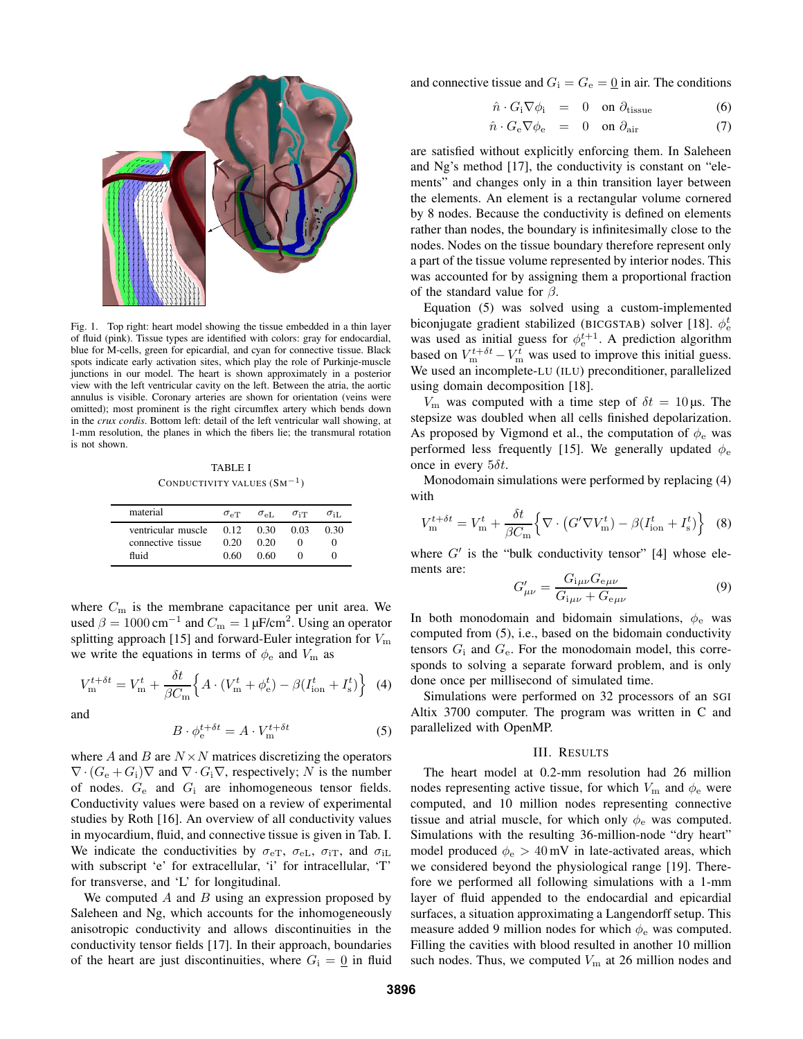

Fig. 1. Top right: heart model showing the tissue embedded in a thin layer of fluid (pink). Tissue types are identified with colors: gray for endocardial, blue for M-cells, green for epicardial, and cyan for connective tissue. Black spots indicate early activation sites, which play the role of Purkinje-muscle junctions in our model. The heart is shown approximately in a posterior view with the left ventricular cavity on the left. Between the atria, the aortic annulus is visible. Coronary arteries are shown for orientation (veins were omitted); most prominent is the right circumflex artery which bends down in the *crux cordis*. Bottom left: detail of the left ventricular wall showing, at 1-mm resolution, the planes in which the fibers lie; the transmural rotation is not shown.

TABLE I CONDUCTIVITY VALUES  $(SM^{-1})$ 

| material                                         | $\sigma_{\rm eT}$    | $\sigma_{\rm eL}$    | $\sigma_{\rm iT}$ | $\sigma$ it. |
|--------------------------------------------------|----------------------|----------------------|-------------------|--------------|
| ventricular muscle<br>connective tissue<br>fluid | 0.12<br>0.20<br>0.60 | 0.30<br>0.20<br>0.60 | 0.03              | 0.30         |

where  $C<sub>m</sub>$  is the membrane capacitance per unit area. We used  $\beta = 1000 \text{ cm}^{-1}$  and  $C_m = 1 \mu \text{F/cm}^2$ . Using an operator splitting approach [15] and forward-Euler integration for  $V_{\text{m}}$ we write the equations in terms of  $\phi_e$  and  $V_m$  as

$$
V_{\rm m}^{t+\delta t} = V_{\rm m}^t + \frac{\delta t}{\beta C_{\rm m}} \Big\{ A \cdot (V_{\rm m}^t + \phi_{\rm e}^t) - \beta (I_{\rm ion}^t + I_{\rm s}^t) \Big\} \tag{4}
$$

and

$$
B \cdot \phi_{\rm e}^{t + \delta t} = A \cdot V_{\rm m}^{t + \delta t} \tag{5}
$$

where  $A$  and  $B$  are  $N \times N$  matrices discretizing the operators  $\nabla \cdot (G_e + G_i) \nabla$  and  $\nabla \cdot G_i \nabla$ , respectively; N is the number of nodes.  $G_e$  and  $G_i$  are inhomogeneous tensor fields. Conductivity values were based on a review of experimental studies by Roth [16]. An overview of all conductivity values in myocardium, fluid, and connective tissue is given in Tab. I. We indicate the conductivities by  $\sigma_{\text{eT}}$ ,  $\sigma_{\text{eL}}$ ,  $\sigma_{\text{iT}}$ , and  $\sigma_{\text{iL}}$ with subscript 'e' for extracellular, 'i' for intracellular, 'T' for transverse, and 'L' for longitudinal.

We computed  $A$  and  $B$  using an expression proposed by Saleheen and Ng, which accounts for the inhomogeneously anisotropic conductivity and allows discontinuities in the conductivity tensor fields [17]. In their approach, boundaries of the heart are just discontinuities, where  $G_i = 0$  in fluid and connective tissue and  $G_i = G_e = 0$  in air. The conditions

$$
\hat{n} \cdot G_{\rm i} \nabla \phi_{\rm i} = 0 \quad \text{on } \partial_{\rm tissue} \tag{6}
$$

$$
\hat{n} \cdot G_{\rm e} \nabla \phi_{\rm e} = 0 \quad \text{on } \partial_{\rm air} \tag{7}
$$

are satisfied without explicitly enforcing them. In Saleheen and Ng's method [17], the conductivity is constant on "elements" and changes only in a thin transition layer between the elements. An element is a rectangular volume cornered by 8 nodes. Because the conductivity is defined on elements rather than nodes, the boundary is infinitesimally close to the nodes. Nodes on the tissue boundary therefore represent only a part of the tissue volume represented by interior nodes. This was accounted for by assigning them a proportional fraction of the standard value for  $\beta$ .

Equation (5) was solved using a custom-implemented biconjugate gradient stabilized (BICGSTAB) solver [18].  $\phi_{\rm e}^t$ was used as initial guess for  $\phi_e^{t+1}$ . A prediction algorithm based on  $V_{\text{m}}^{t+\delta t} - V_{\text{m}}^{t}$  was used to improve this initial guess. We used an incomplete-LU (ILU) preconditioner, parallelized using domain decomposition [18].

 $V_{\rm m}$  was computed with a time step of  $\delta t = 10 \,\mu$ s. The stepsize was doubled when all cells finished depolarization. As proposed by Vigmond et al., the computation of  $\phi_e$  was performed less frequently [15]. We generally updated  $\phi_e$ once in every  $5\delta t$ .

Monodomain simulations were performed by replacing (4) with

$$
V_{\rm m}^{t+\delta t} = V_{\rm m}^t + \frac{\delta t}{\beta C_{\rm m}} \Big\{ \nabla \cdot \left( G' \nabla V_{\rm m}^t \right) - \beta (I_{\rm ion}^t + I_{\rm s}^t) \Big\} \tag{8}
$$

where  $G'$  is the "bulk conductivity tensor" [4] whose elements are:

$$
G'_{\mu\nu} = \frac{G_{i\mu\nu} G_{e\mu\nu}}{G_{i\mu\nu} + G_{e\mu\nu}} \tag{9}
$$

In both monodomain and bidomain simulations,  $\phi_e$  was computed from (5), i.e., based on the bidomain conductivity tensors  $G_i$  and  $G_e$ . For the monodomain model, this corresponds to solving a separate forward problem, and is only done once per millisecond of simulated time.

Simulations were performed on 32 processors of an SGI Altix 3700 computer. The program was written in C and parallelized with OpenMP.

#### III. RESULTS

The heart model at 0.2-mm resolution had 26 million nodes representing active tissue, for which  $V_{\rm m}$  and  $\phi_{\rm e}$  were computed, and 10 million nodes representing connective tissue and atrial muscle, for which only  $\phi_e$  was computed. Simulations with the resulting 36-million-node "dry heart" model produced  $\phi_e > 40$  mV in late-activated areas, which we considered beyond the physiological range [19]. Therefore we performed all following simulations with a 1-mm layer of fluid appended to the endocardial and epicardial surfaces, a situation approximating a Langendorff setup. This measure added 9 million nodes for which  $\phi_e$  was computed. Filling the cavities with blood resulted in another 10 million such nodes. Thus, we computed  $V<sub>m</sub>$  at 26 million nodes and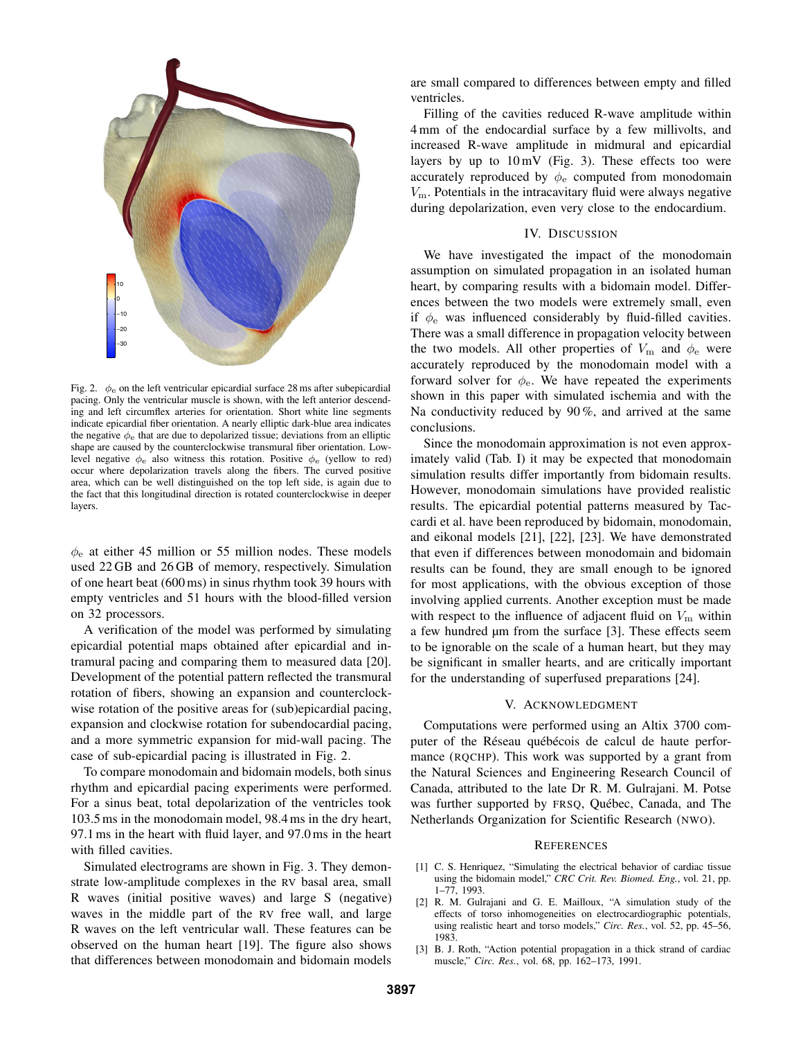

Fig. 2.  $\phi_e$  on the left ventricular epicardial surface 28 ms after subepicardial pacing. Only the ventricular muscle is shown, with the left anterior descending and left circumflex arteries for orientation. Short white line segments indicate epicardial fiber orientation. A nearly elliptic dark-blue area indicates the negative  $\phi_e$  that are due to depolarized tissue; deviations from an elliptic shape are caused by the counterclockwise transmural fiber orientation. Lowlevel negative  $\phi_e$  also witness this rotation. Positive  $\phi_e$  (yellow to red) occur where depolarization travels along the fibers. The curved positive area, which can be well distinguished on the top left side, is again due to the fact that this longitudinal direction is rotated counterclockwise in deeper layers.

 $\phi_e$  at either 45 million or 55 million nodes. These models used 22 GB and 26 GB of memory, respectively. Simulation of one heart beat (600 ms) in sinus rhythm took 39 hours with empty ventricles and 51 hours with the blood-filled version on 32 processors.

A verification of the model was performed by simulating epicardial potential maps obtained after epicardial and intramural pacing and comparing them to measured data [20]. Development of the potential pattern reflected the transmural rotation of fibers, showing an expansion and counterclockwise rotation of the positive areas for (sub)epicardial pacing, expansion and clockwise rotation for subendocardial pacing, and a more symmetric expansion for mid-wall pacing. The case of sub-epicardial pacing is illustrated in Fig. 2.

To compare monodomain and bidomain models, both sinus rhythm and epicardial pacing experiments were performed. For a sinus beat, total depolarization of the ventricles took 103.5 ms in the monodomain model, 98.4 ms in the dry heart, 97.1 ms in the heart with fluid layer, and 97.0 ms in the heart with filled cavities.

Simulated electrograms are shown in Fig. 3. They demonstrate low-amplitude complexes in the RV basal area, small R waves (initial positive waves) and large S (negative) waves in the middle part of the RV free wall, and large R waves on the left ventricular wall. These features can be observed on the human heart [19]. The figure also shows that differences between monodomain and bidomain models

are small compared to differences between empty and filled ventricles.

Filling of the cavities reduced R-wave amplitude within 4 mm of the endocardial surface by a few millivolts, and increased R-wave amplitude in midmural and epicardial layers by up to  $10 \text{ mV}$  (Fig. 3). These effects too were accurately reproduced by  $\phi_e$  computed from monodomain  $V<sub>m</sub>$ . Potentials in the intracavitary fluid were always negative during depolarization, even very close to the endocardium.

## IV. DISCUSSION

We have investigated the impact of the monodomain assumption on simulated propagation in an isolated human heart, by comparing results with a bidomain model. Differences between the two models were extremely small, even if  $\phi_e$  was influenced considerably by fluid-filled cavities. There was a small difference in propagation velocity between the two models. All other properties of  $V_{\rm m}$  and  $\phi_{\rm e}$  were accurately reproduced by the monodomain model with a forward solver for  $\phi_e$ . We have repeated the experiments shown in this paper with simulated ischemia and with the Na conductivity reduced by  $90\%$ , and arrived at the same conclusions.

Since the monodomain approximation is not even approximately valid (Tab. I) it may be expected that monodomain simulation results differ importantly from bidomain results. However, monodomain simulations have provided realistic results. The epicardial potential patterns measured by Taccardi et al. have been reproduced by bidomain, monodomain, and eikonal models [21], [22], [23]. We have demonstrated that even if differences between monodomain and bidomain results can be found, they are small enough to be ignored for most applications, with the obvious exception of those involving applied currents. Another exception must be made with respect to the influence of adjacent fluid on  $V<sub>m</sub>$  within a few hundred μm from the surface [3]. These effects seem to be ignorable on the scale of a human heart, but they may be significant in smaller hearts, and are critically important for the understanding of superfused preparations [24].

### V. ACKNOWLEDGMENT

Computations were performed using an Altix 3700 computer of the Réseau québécois de calcul de haute performance (RQCHP). This work was supported by a grant from the Natural Sciences and Engineering Research Council of Canada, attributed to the late Dr R. M. Gulrajani. M. Potse was further supported by FRSQ, Québec, Canada, and The Netherlands Organization for Scientific Research (NWO).

#### **REFERENCES**

- [1] C. S. Henriquez, "Simulating the electrical behavior of cardiac tissue using the bidomain model," *CRC Crit. Rev. Biomed. Eng.*, vol. 21, pp. 1–77, 1993.
- [2] R. M. Gulrajani and G. E. Mailloux, "A simulation study of the effects of torso inhomogeneities on electrocardiographic potentials, using realistic heart and torso models," *Circ. Res.*, vol. 52, pp. 45–56, 1983.
- [3] B. J. Roth, "Action potential propagation in a thick strand of cardiac muscle," *Circ. Res.*, vol. 68, pp. 162–173, 1991.